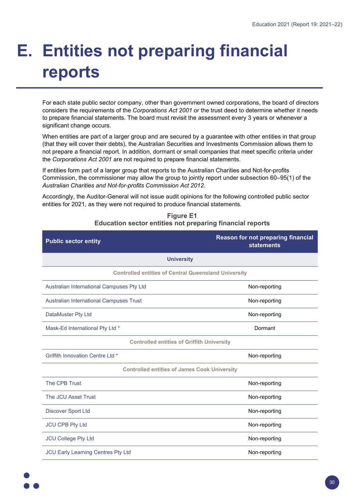## **E. Entities not preparing financial reports**

For each state public sector company, other than government owned corporations, the board of directors considers the requirements of the *Corporations Act 2001* or the trust deed to determine whether it needs to prepare financial statements. The board must revisit the assessment every 3 years or whenever a significant change occurs.

When entities are part of a larger group and are secured by a guarantee with other entities in that group (that they will cover their debts), the Australian Securities and Investments Commission allows them to not prepare a financial report. In addition, dormant or small companies that meet specific criteria under the *Corporations Act 2001* are not required to prepare financial statements.

If entities form part of a larger group that reports to the Australian Charities and Not-for-profits Commission, the commissioner may allow the group to jointly report under subsection 60–95(1) of the *Australian Charities and Not-for-profits Commission Act 2012*.

Accordingly, the Auditor-General will not issue audit opinions for the following controlled public sector entities for 2021, as they were not required to produce financial statements.

| <b>Public sector entity</b>                                 | <b>Reason for not preparing financial</b><br><b>statements</b> |  |
|-------------------------------------------------------------|----------------------------------------------------------------|--|
| <b>University</b>                                           |                                                                |  |
| <b>Controlled entities of Central Queensland University</b> |                                                                |  |
| Australian International Campuses Pty Ltd                   | Non-reporting                                                  |  |
| <b>Australian International Campuses Trust</b>              | Non-reporting                                                  |  |
| DataMuster Pty Ltd                                          | Non-reporting                                                  |  |
| Mask-Ed International Pty Ltd *                             | Dormant                                                        |  |
| <b>Controlled entities of Griffith University</b>           |                                                                |  |
| <b>Griffith Innovation Centre Ltd *</b>                     | Non-reporting                                                  |  |
| <b>Controlled entities of James Cook University</b>         |                                                                |  |
| The CPB Trust                                               | Non-reporting                                                  |  |
| <b>The JCU Asset Trust</b>                                  | Non-reporting                                                  |  |
| <b>Discover Sport Ltd</b>                                   | Non-reporting                                                  |  |
| <b>JCU CPB Pty Ltd</b>                                      | Non-reporting                                                  |  |
| <b>JCU College Pty Ltd</b>                                  | Non-reporting                                                  |  |
| JCU Early Learning Centres Pty Ltd                          | Non-reporting                                                  |  |

## **Figure E1 Education sector entities not preparing financial reports**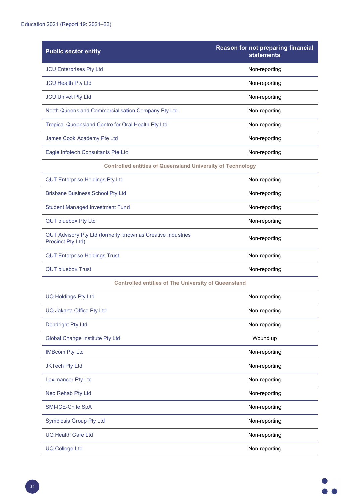| <b>Public sector entity</b>                                                      | <b>Reason for not preparing financial</b><br><b>statements</b> |  |
|----------------------------------------------------------------------------------|----------------------------------------------------------------|--|
| <b>JCU Enterprises Pty Ltd</b>                                                   | Non-reporting                                                  |  |
| <b>JCU Health Pty Ltd</b>                                                        | Non-reporting                                                  |  |
| <b>JCU Univet Pty Ltd</b>                                                        | Non-reporting                                                  |  |
| North Queensland Commercialisation Company Pty Ltd                               | Non-reporting                                                  |  |
| Tropical Queensland Centre for Oral Health Pty Ltd                               | Non-reporting                                                  |  |
| James Cook Academy Pte Ltd                                                       | Non-reporting                                                  |  |
| Eagle Infotech Consultants Pte Ltd                                               | Non-reporting                                                  |  |
| <b>Controlled entities of Queensland University of Technology</b>                |                                                                |  |
| <b>QUT Enterprise Holdings Pty Ltd</b>                                           | Non-reporting                                                  |  |
| <b>Brisbane Business School Pty Ltd</b>                                          | Non-reporting                                                  |  |
| <b>Student Managed Investment Fund</b>                                           | Non-reporting                                                  |  |
| <b>QUT bluebox Pty Ltd</b>                                                       | Non-reporting                                                  |  |
| QUT Advisory Pty Ltd (formerly known as Creative Industries<br>Precinct Pty Ltd) | Non-reporting                                                  |  |
| <b>QUT Enterprise Holdings Trust</b>                                             | Non-reporting                                                  |  |
| <b>QUT bluebox Trust</b>                                                         | Non-reporting                                                  |  |
| <b>Controlled entities of The University of Queensland</b>                       |                                                                |  |
| <b>UQ Holdings Pty Ltd</b>                                                       | Non-reporting                                                  |  |
| UQ Jakarta Office Pty Ltd                                                        | Non-reporting                                                  |  |
| <b>Dendright Pty Ltd</b>                                                         | Non-reporting                                                  |  |
| <b>Global Change Institute Pty Ltd</b>                                           | Wound up                                                       |  |
| <b>IMBcom Pty Ltd</b>                                                            | Non-reporting                                                  |  |
| <b>JKTech Pty Ltd</b>                                                            | Non-reporting                                                  |  |
| <b>Leximancer Pty Ltd</b>                                                        | Non-reporting                                                  |  |
| Neo Rehab Pty Ltd                                                                | Non-reporting                                                  |  |
| SMI-ICE-Chile SpA                                                                | Non-reporting                                                  |  |
| <b>Symbiosis Group Pty Ltd</b>                                                   | Non-reporting                                                  |  |
| <b>UQ Health Care Ltd</b>                                                        | Non-reporting                                                  |  |
| <b>UQ College Ltd</b>                                                            | Non-reporting                                                  |  |